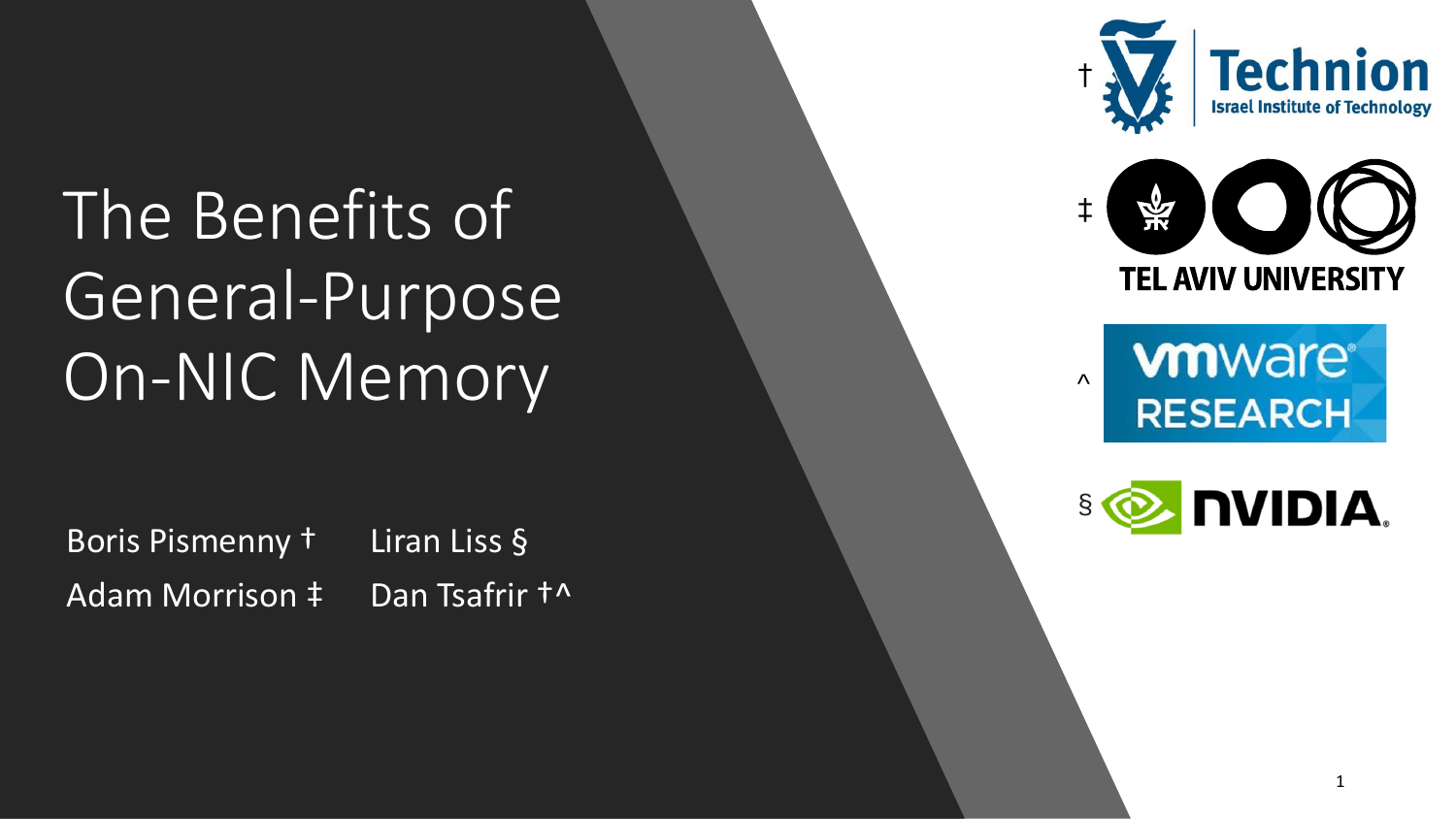# The Benefits of General-Purpose On-NIC Memory

Boris Pismenny † Liran Liss § Adam Morrison  $\ddagger$  Dan Tsafrir  $\dagger$ ^







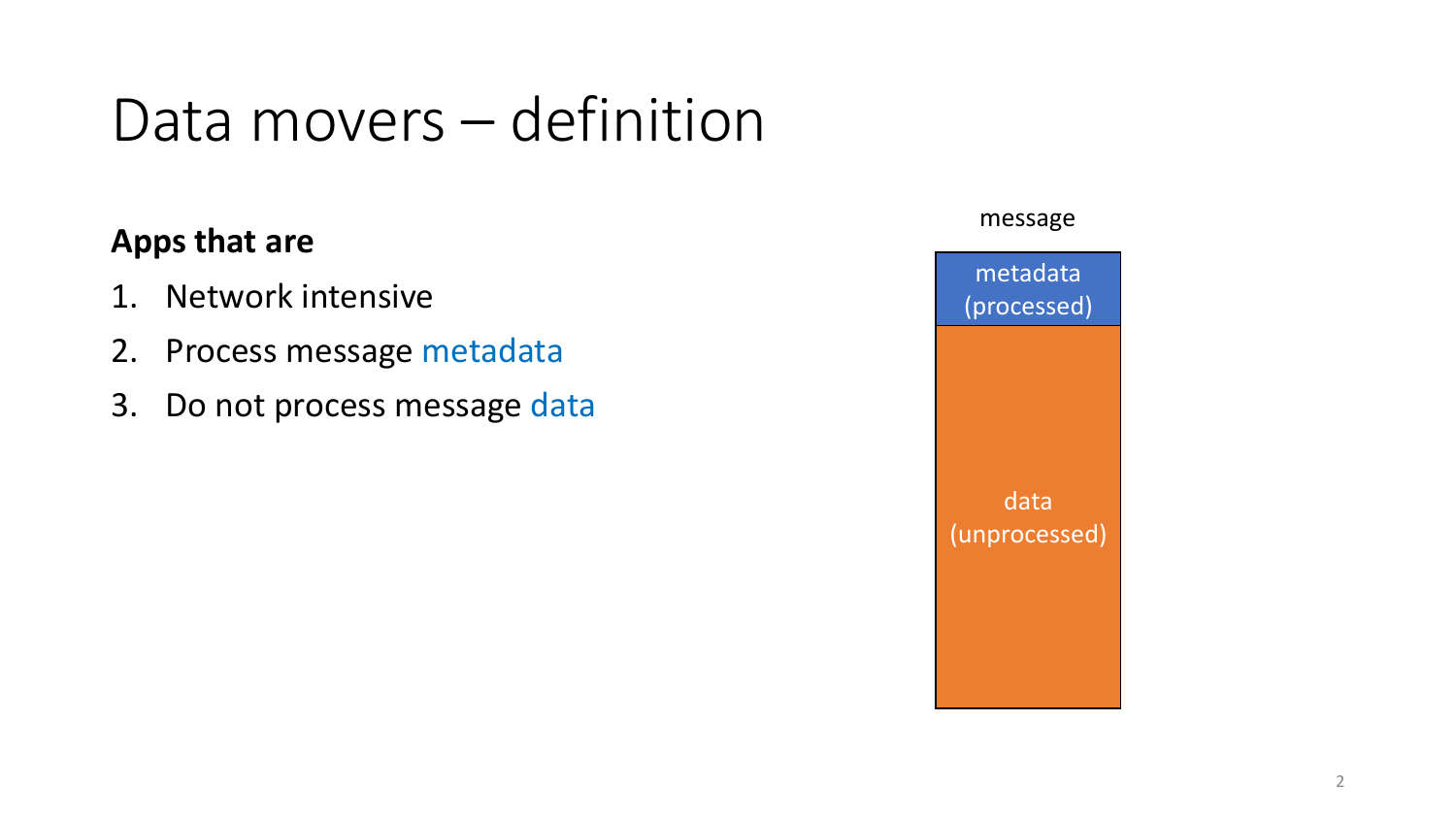#### Data movers – definition

#### **Apps that are**

- 1. Network intensive
- 2. Process message metadata
- 3. Do not process message data

#### message

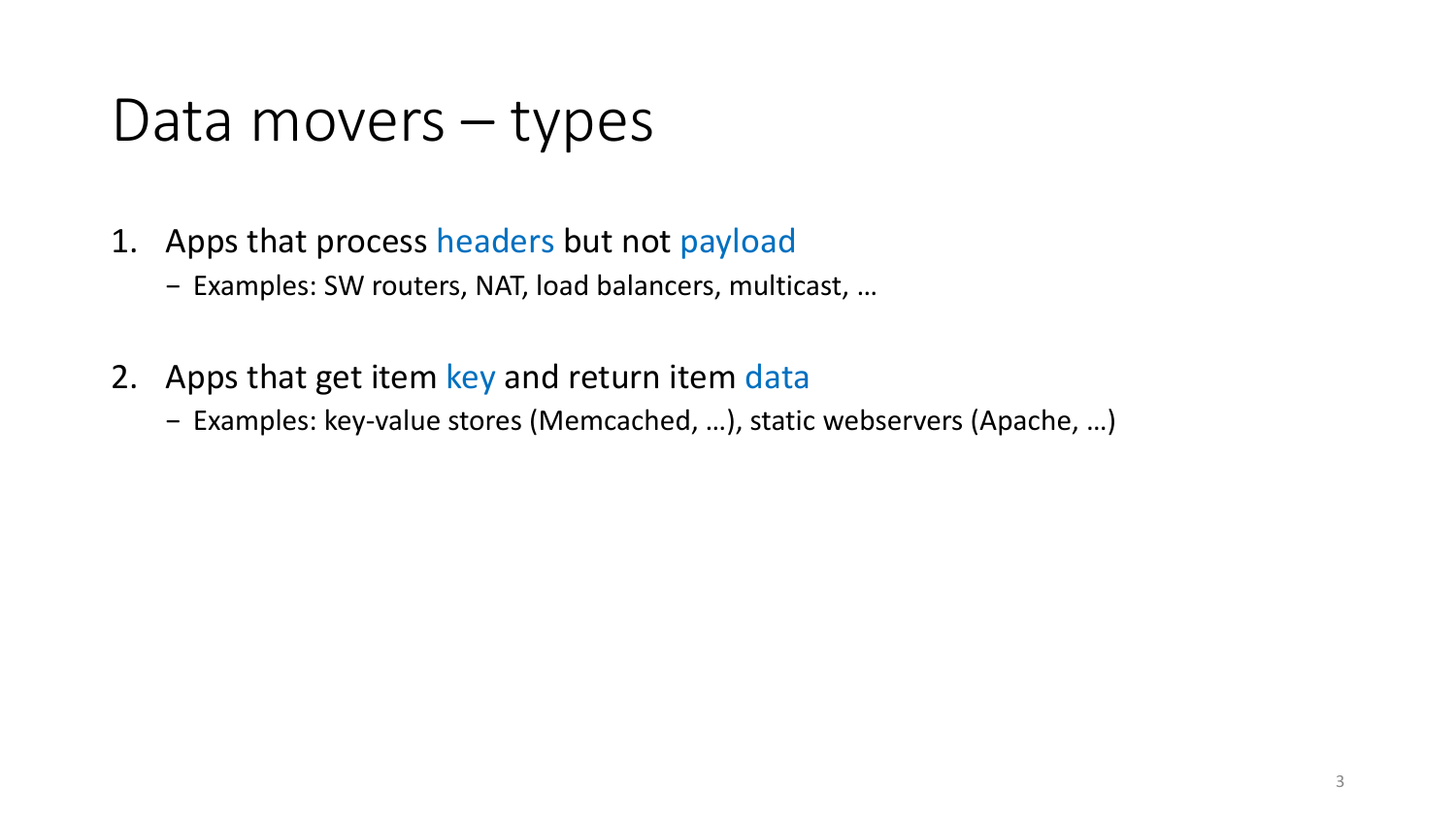#### Data movers – types

- 1. Apps that process headers but not payload
	- − Examples: SW routers, NAT, load balancers, multicast, …
- 2. Apps that get item key and return item data
	- − Examples: key-value stores (Memcached, …), static webservers (Apache, …)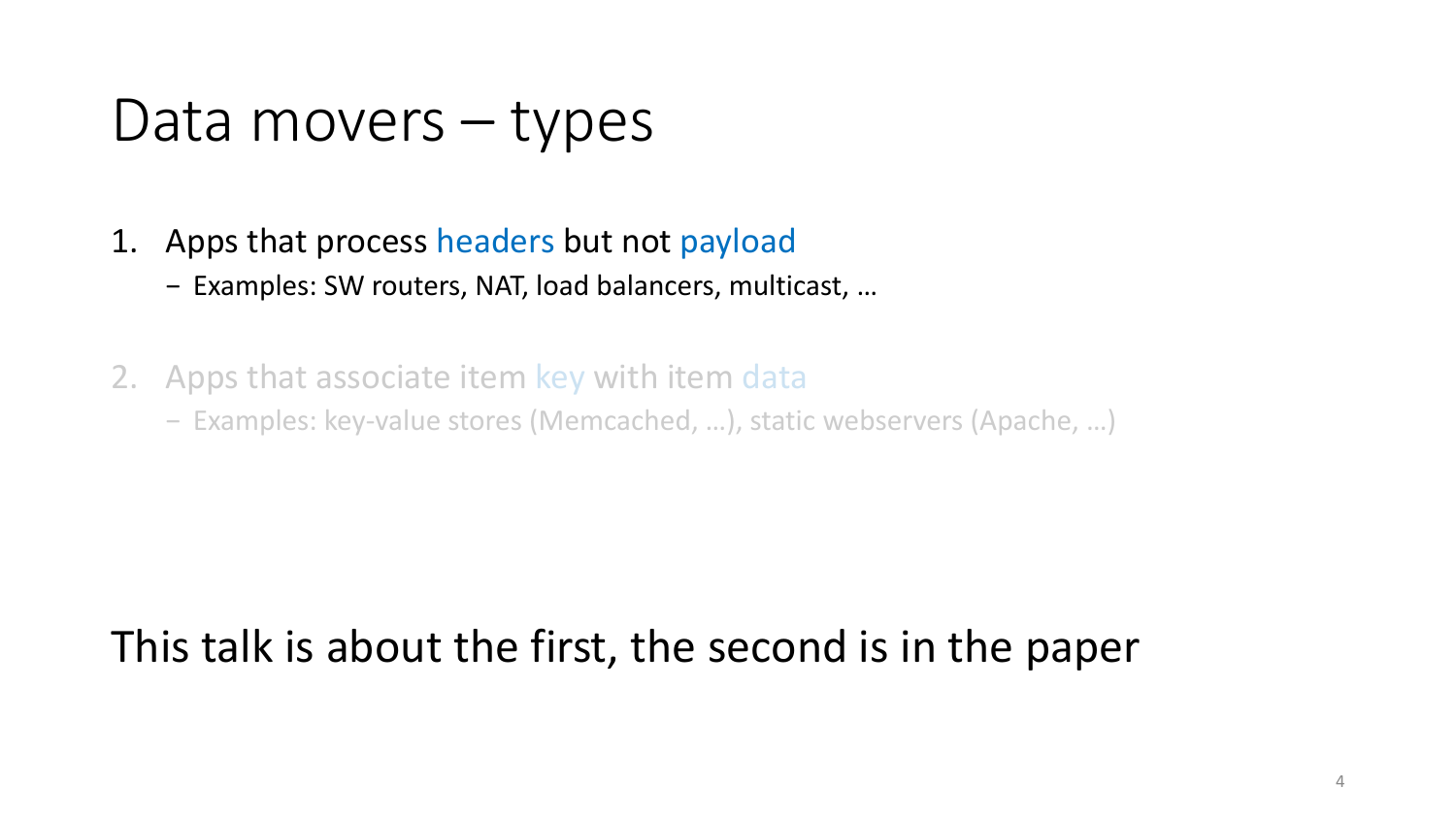#### Data movers – types

- 1. Apps that process headers but not payload
	- − Examples: SW routers, NAT, load balancers, multicast, …
- 2. Apps that associate item key with item data
	- − Examples: key-value stores (Memcached, …), static webservers (Apache, …)

#### This talk is about the first, the second is in the paper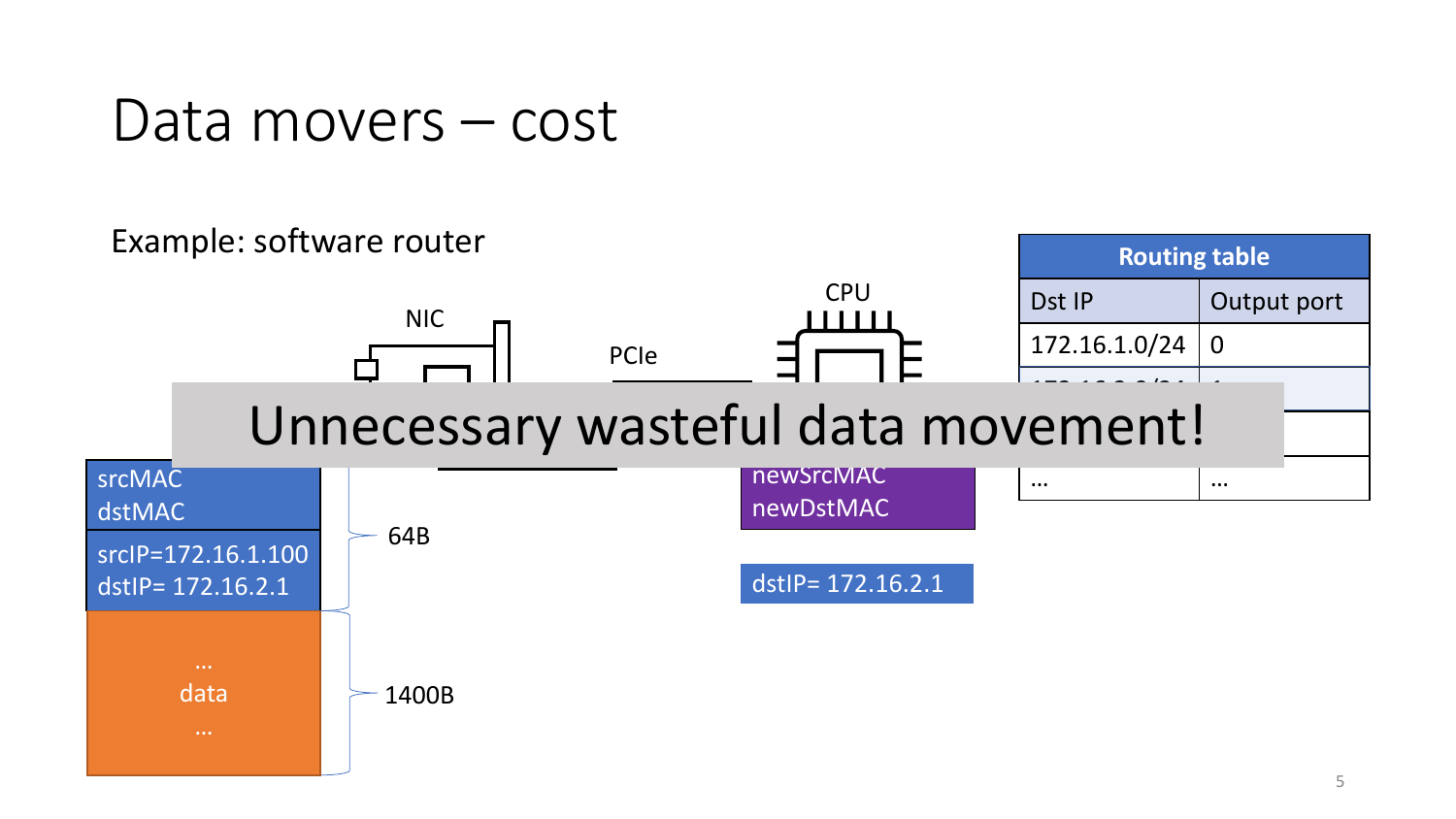#### Data movers – cost

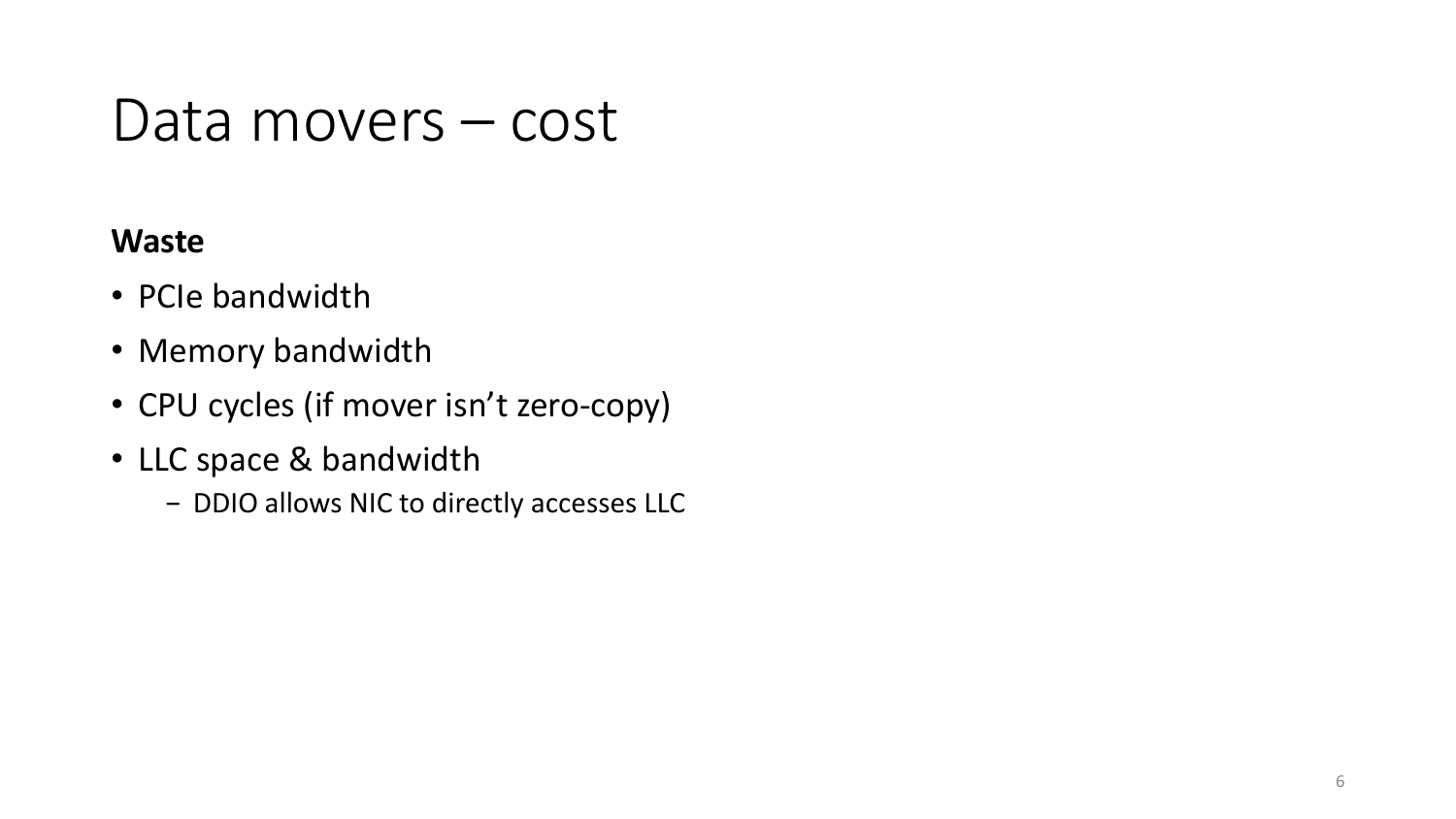#### Data movers – cost

#### **Waste**

- PCIe bandwidth
- Memory bandwidth
- CPU cycles (if mover isn't zero-copy)
- LLC space & bandwidth
	- − DDIO allows NIC to directly accesses LLC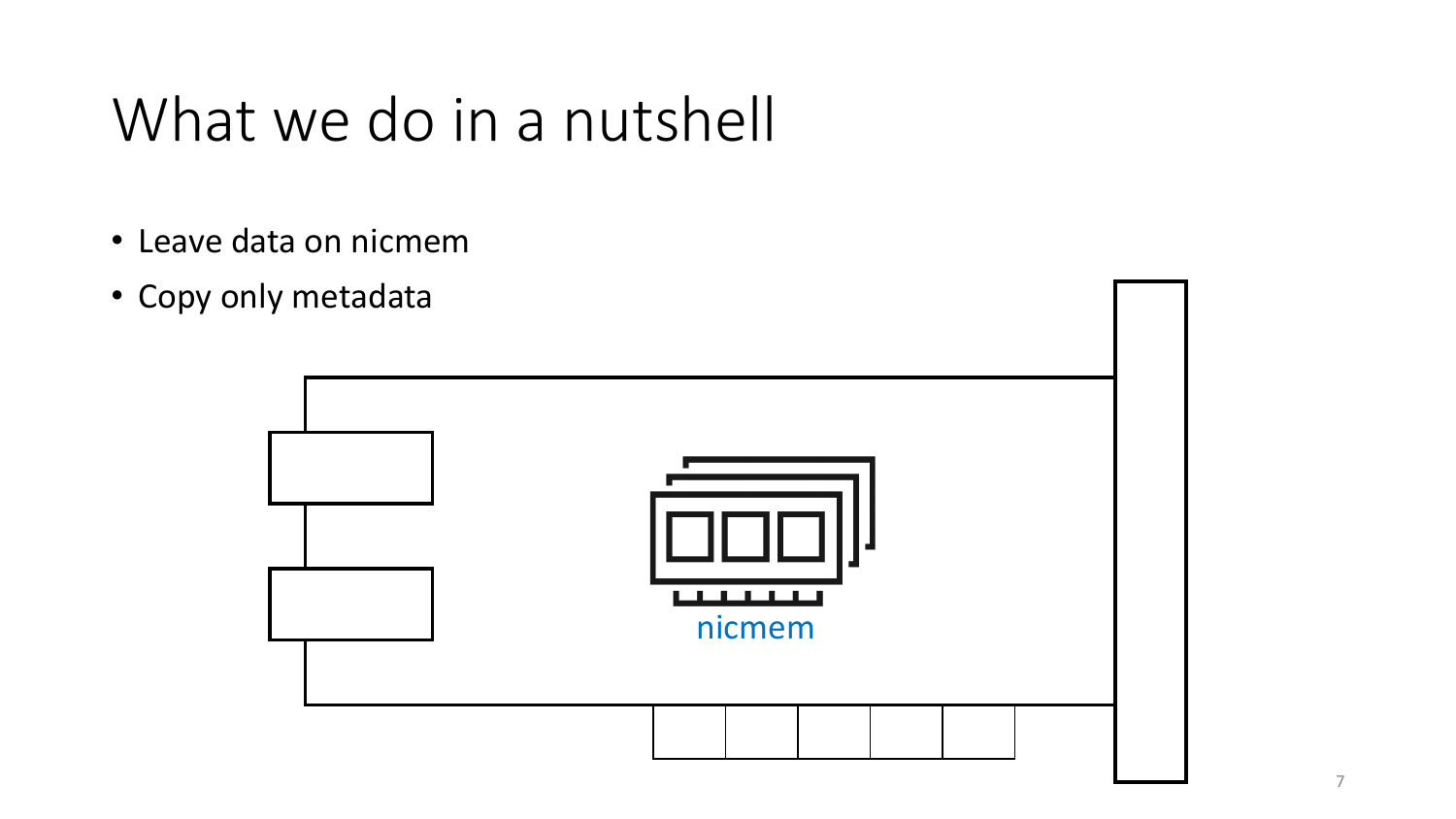#### What we do in a nutshell

- Leave data on nicmem
- Copy only metadata

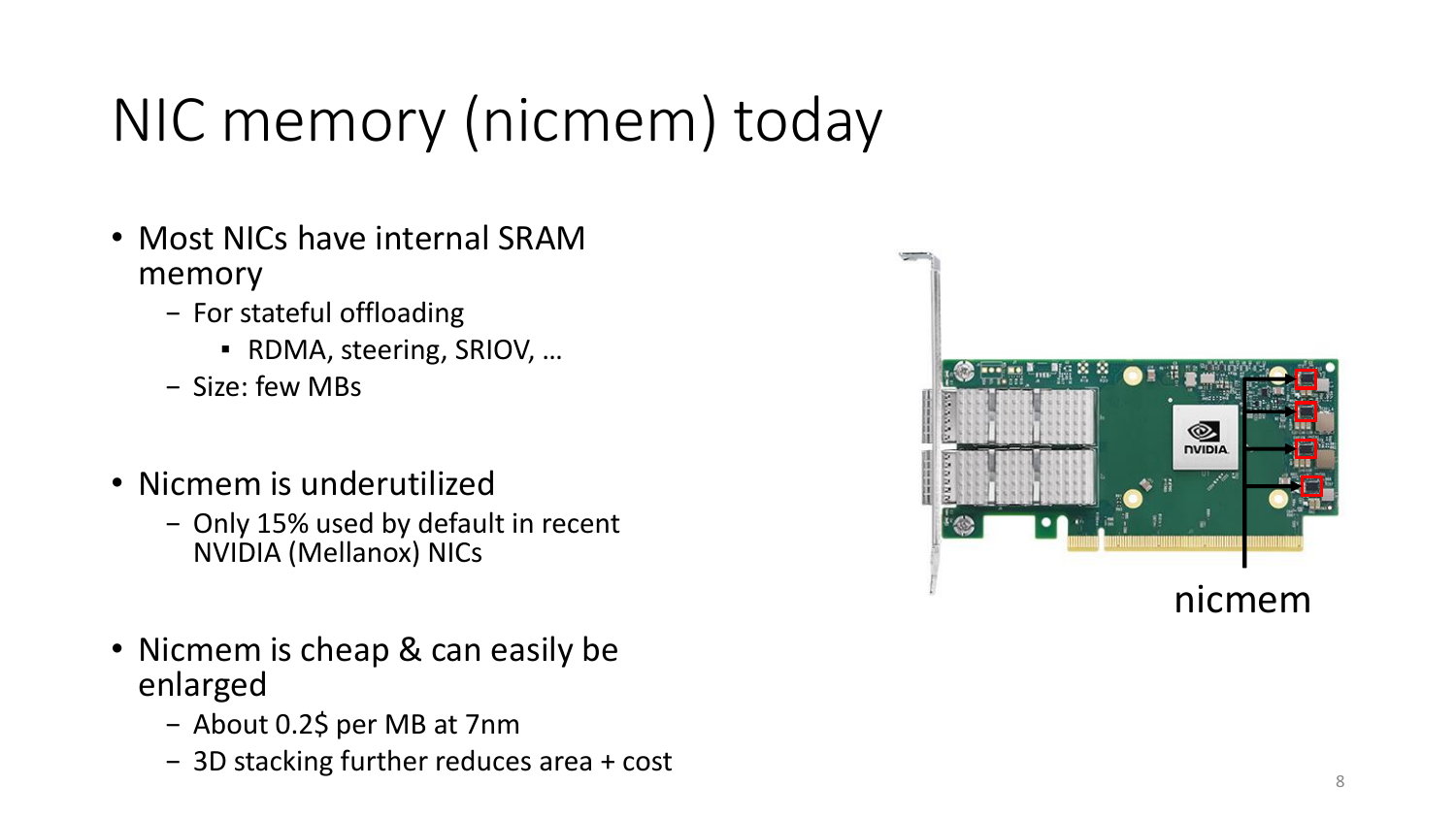# NIC memory (nicmem) today

- Most NICs have internal SRAM memory
	- − For stateful offloading
		- RDMA, steering, SRIOV, ...
	- − Size: few MBs
- Nicmem is underutilized
	- − Only 15% used by default in recent NVIDIA (Mellanox) NICs
- Nicmem is cheap & can easily be enlarged
	- − About 0.2\$ per MB at 7nm
	- − 3D stacking further reduces area + cost

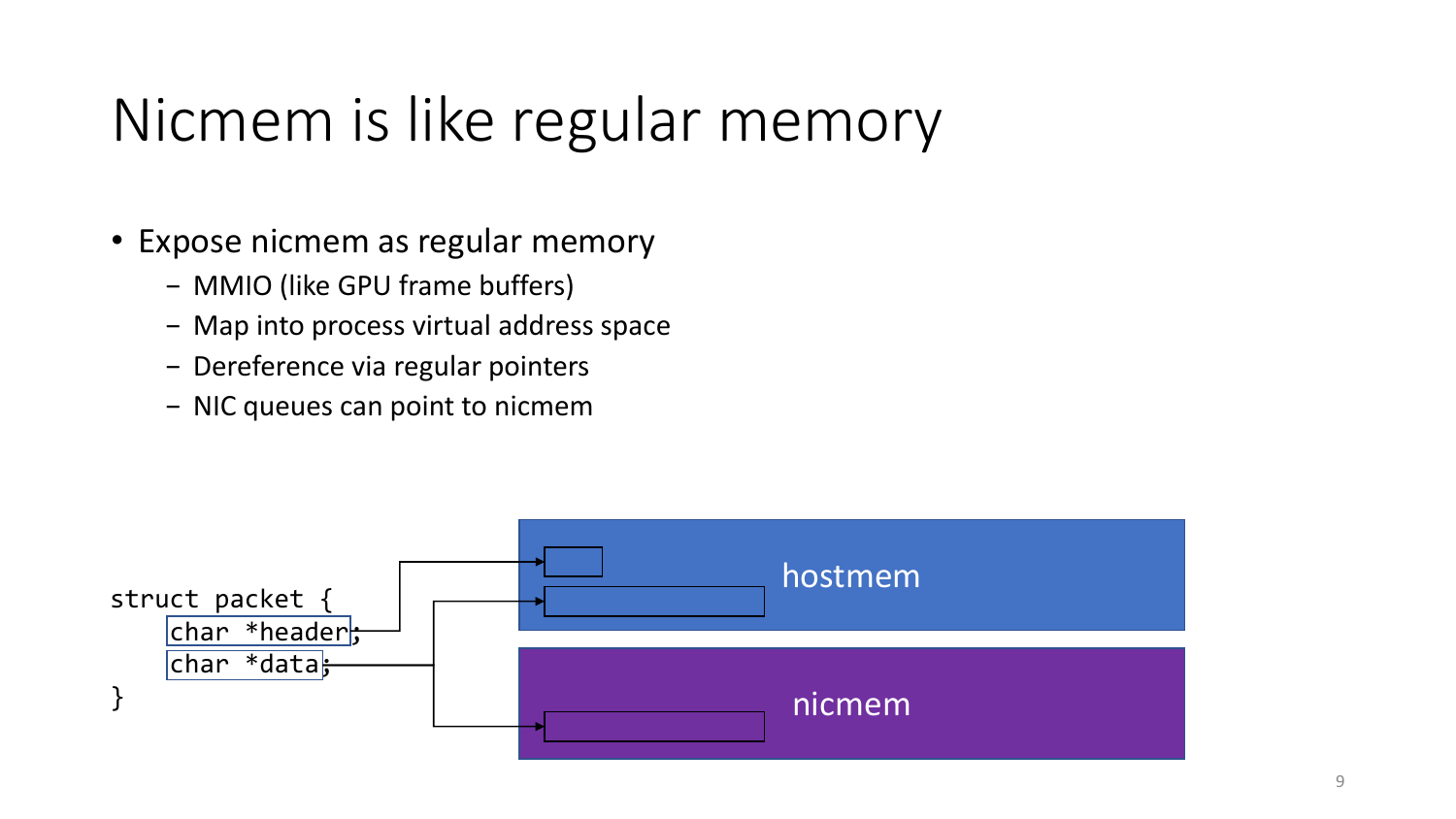#### Nicmem is like regular memory

- Expose nicmem as regular memory
	- − MMIO (like GPU frame buffers)
	- − Map into process virtual address space
	- − Dereference via regular pointers
	- − NIC queues can point to nicmem

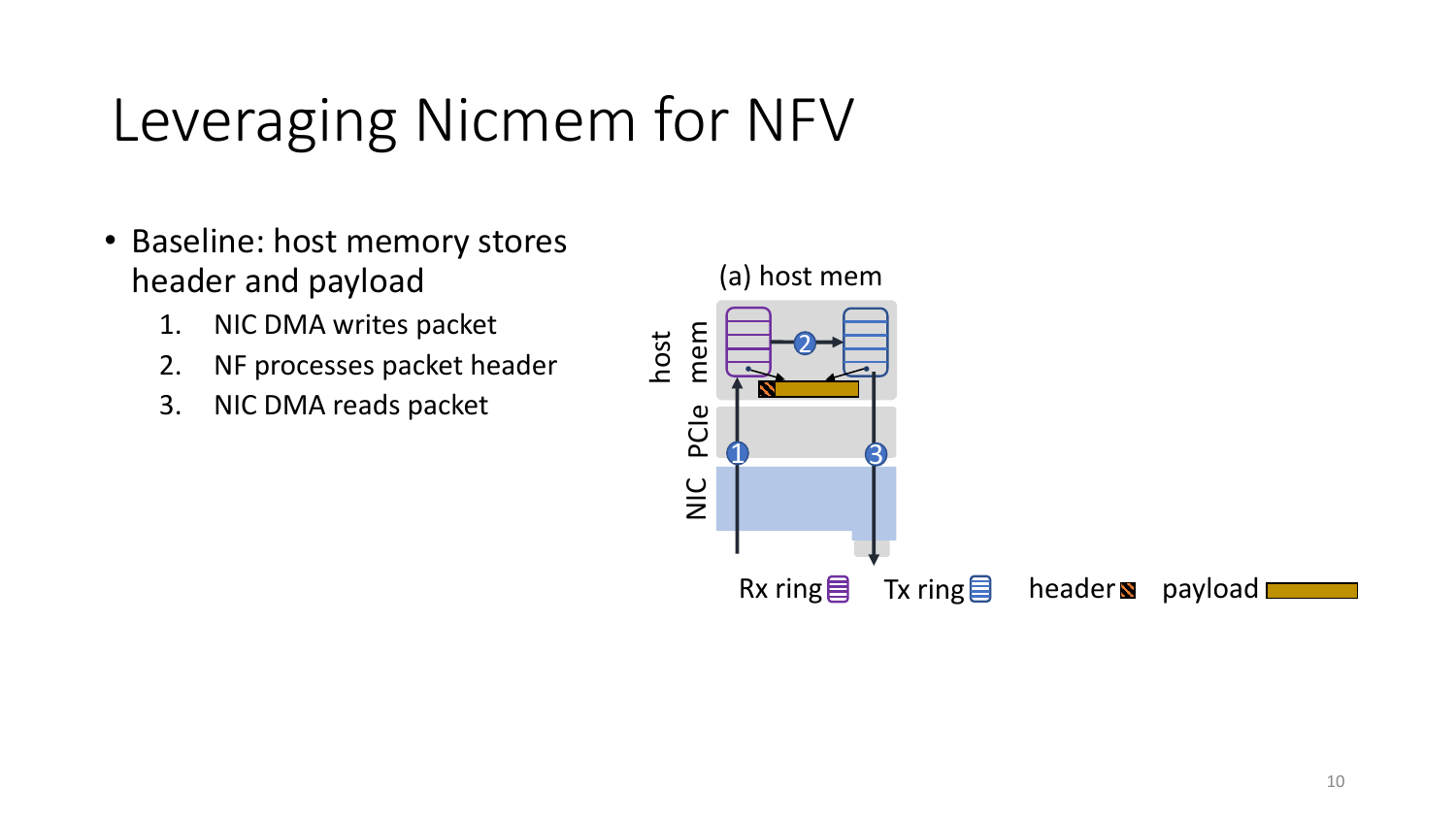## Leveraging Nicmem for NFV

- Baseline: host memory stores header and payload
	- 1. NIC DMA writes packet
	- 2. NF processes packet header
	- 3. NIC DMA reads packet

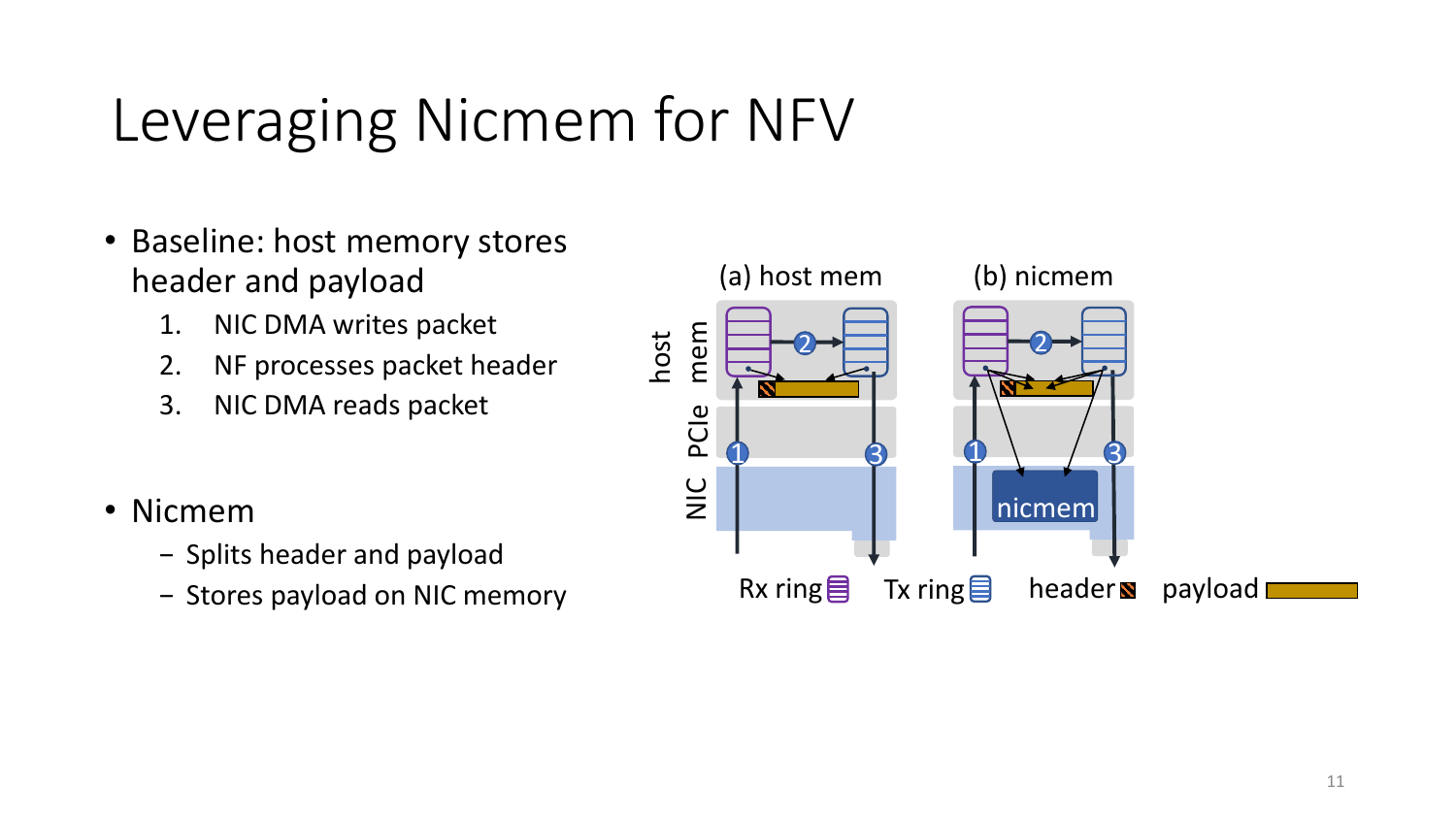## Leveraging Nicmem for NFV

- Baseline: host memory stores header and payload
	- 1. NIC DMA writes packet
	- 2. NF processes packet header
	- 3. NIC DMA reads packet
- Nicmem
	- − Splits header and payload
	- − Stores payload on NIC memory

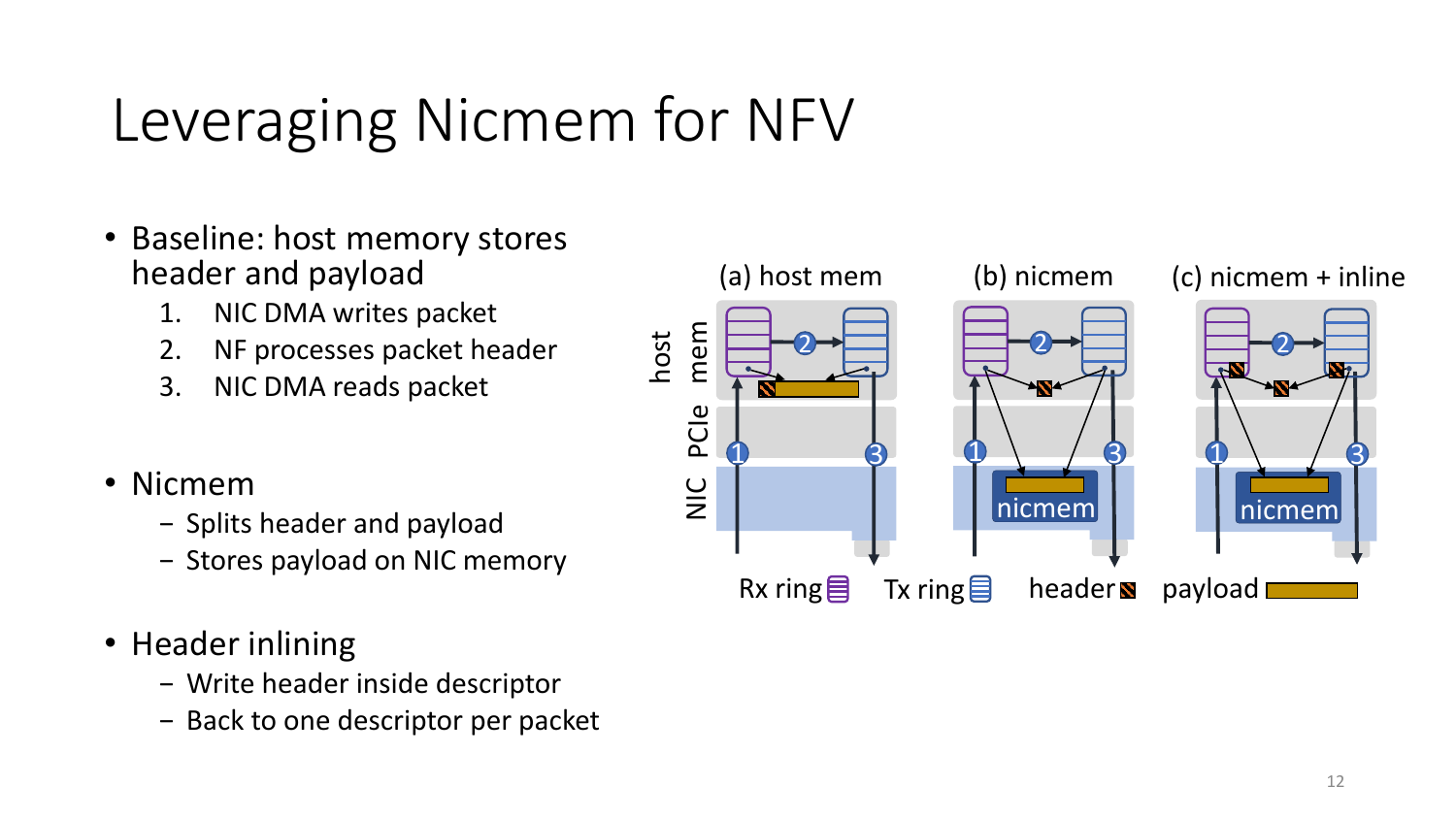## Leveraging Nicmem for NFV

- Baseline: host memory stores header and payload
	- 1. NIC DMA writes packet
	- 2. NF processes packet header
	- 3. NIC DMA reads packet
- Nicmem
	- − Splits header and payload
	- − Stores payload on NIC memory
- Header inlining
	- − Write header inside descriptor
	- − Back to one descriptor per packet

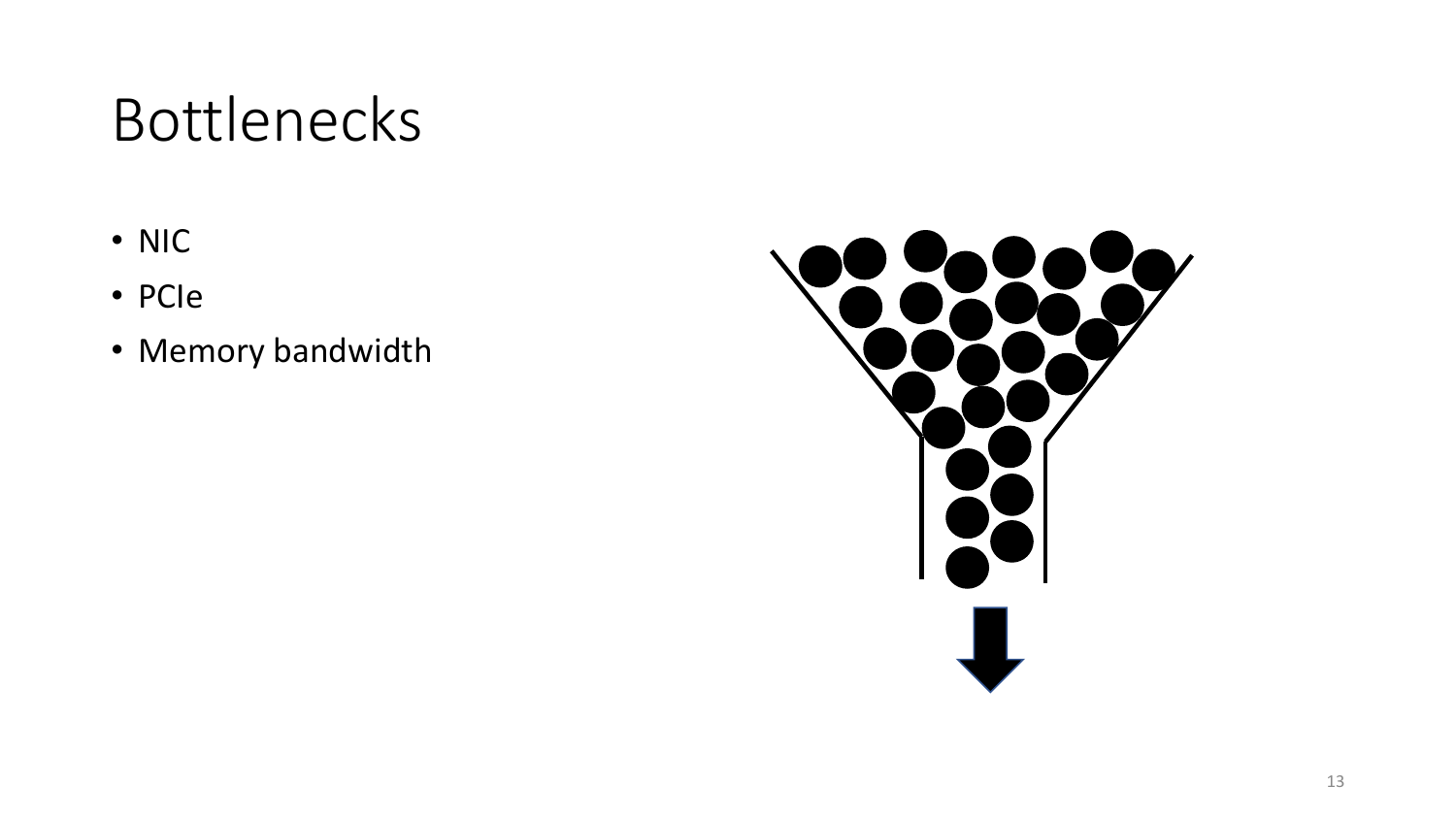#### Bottlenecks

- NIC
- PCIe
- Memory bandwidth

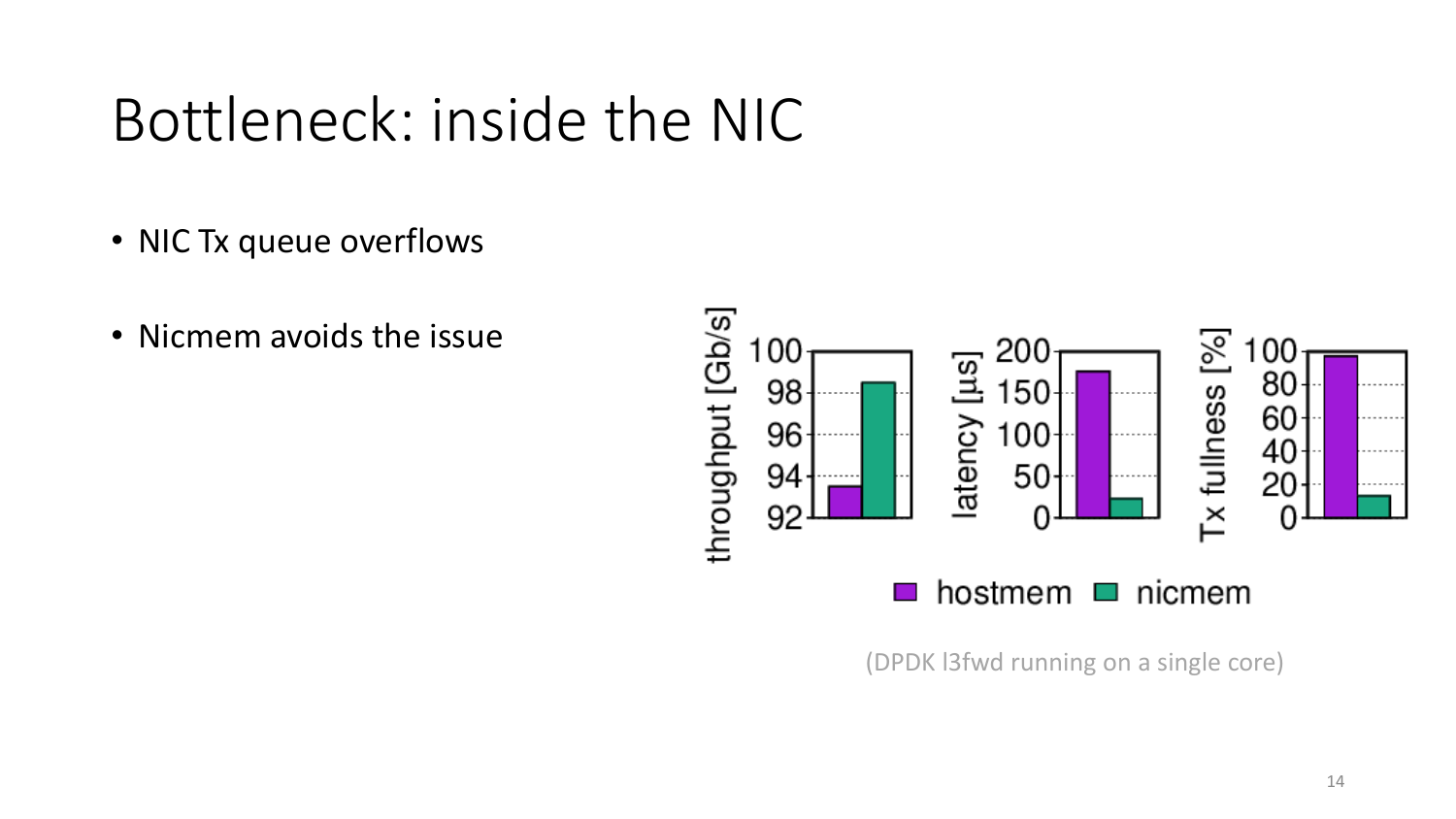#### Bottleneck: inside the NIC

- NIC Tx queue overflows
- Nicmem avoids the issue



(DPDK l3fwd running on a single core)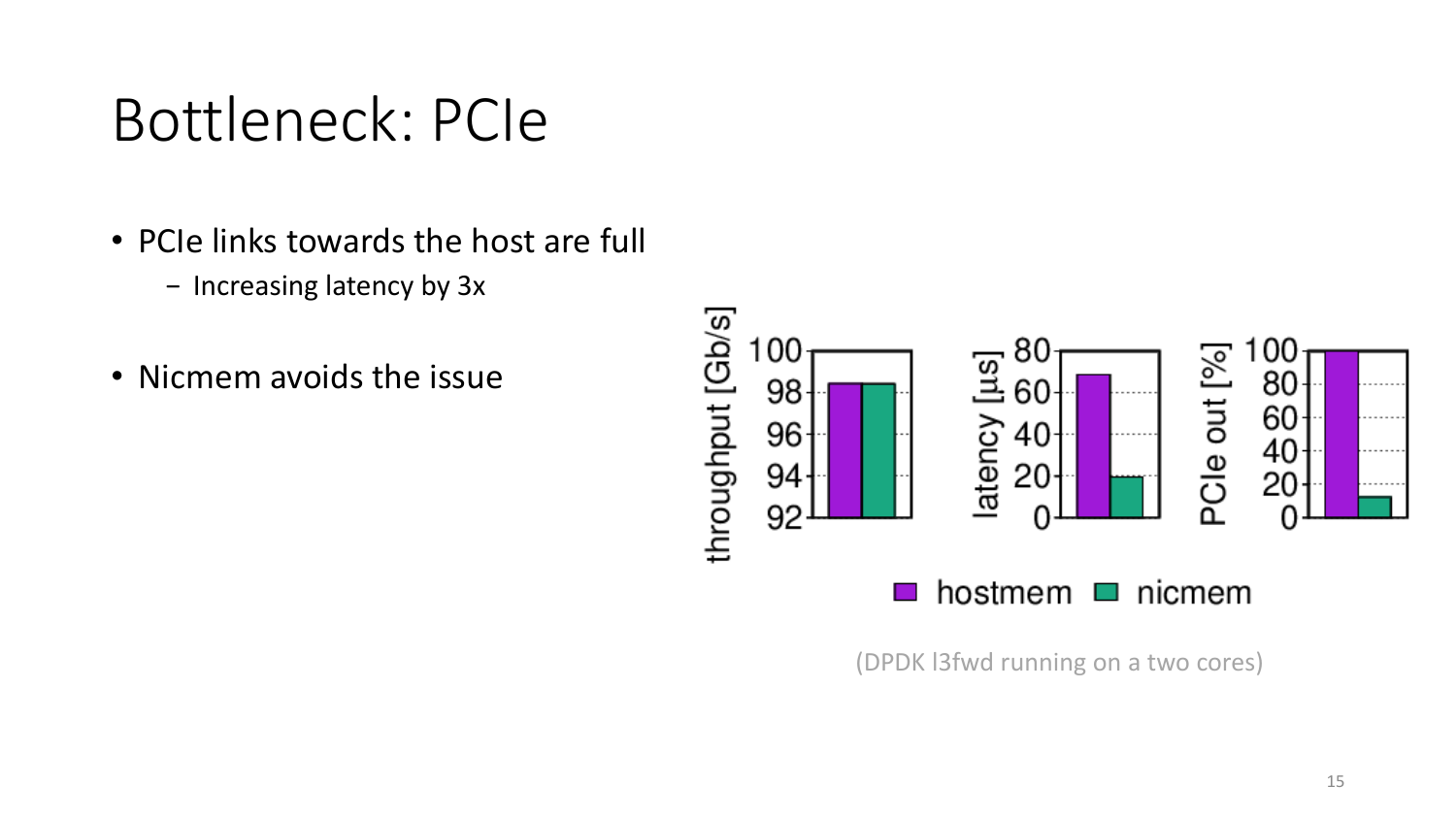#### Bottleneck: PCIe

- PCIe links towards the host are full
	- − Increasing latency by 3x
- Nicmem avoids the issue



(DPDK l3fwd running on a two cores)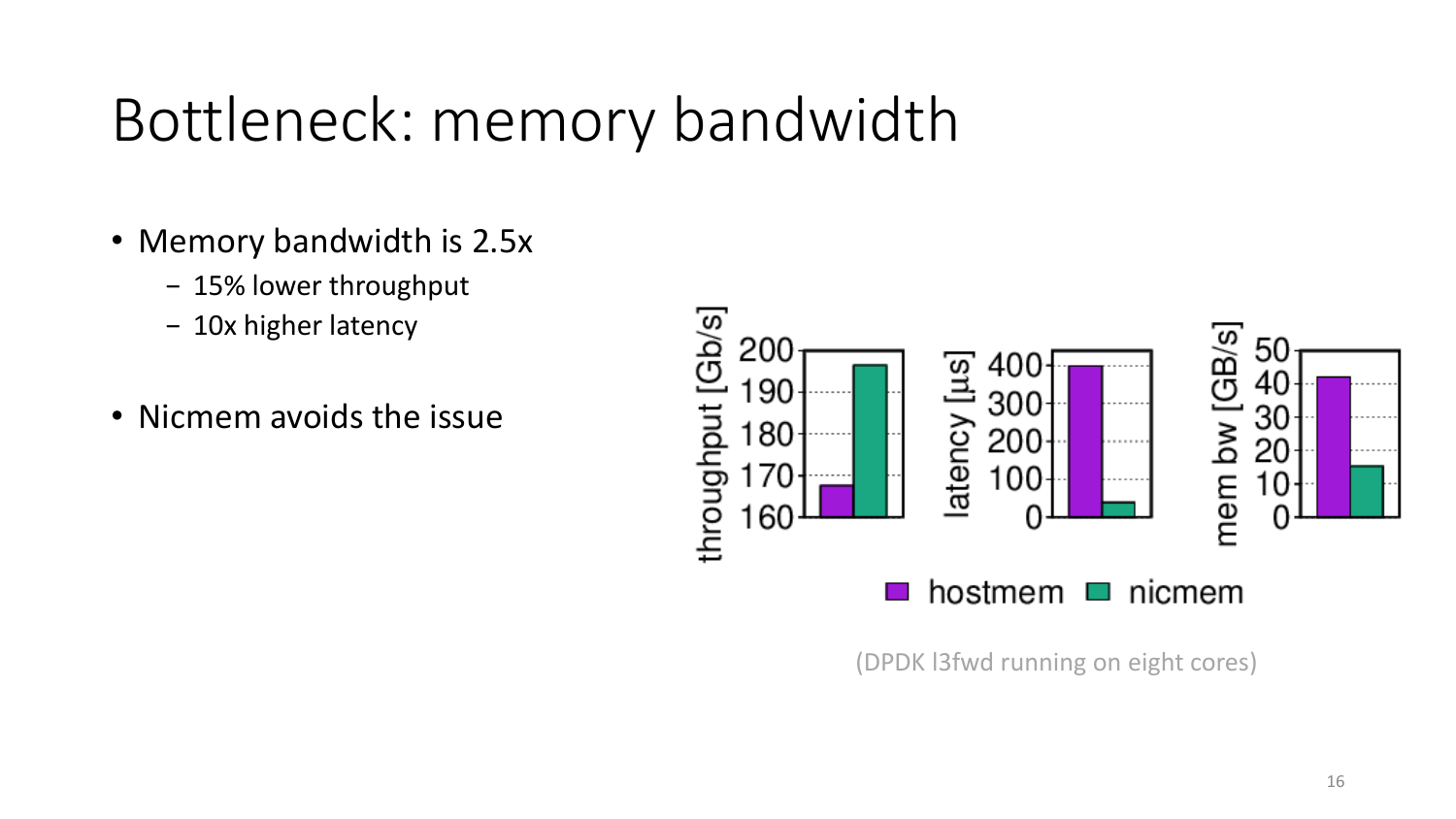#### Bottleneck: memory bandwidth

- Memory bandwidth is 2.5x
	- − 15% lower throughput
	- − 10x higher latency
- Nicmem avoids the issue



(DPDK l3fwd running on eight cores)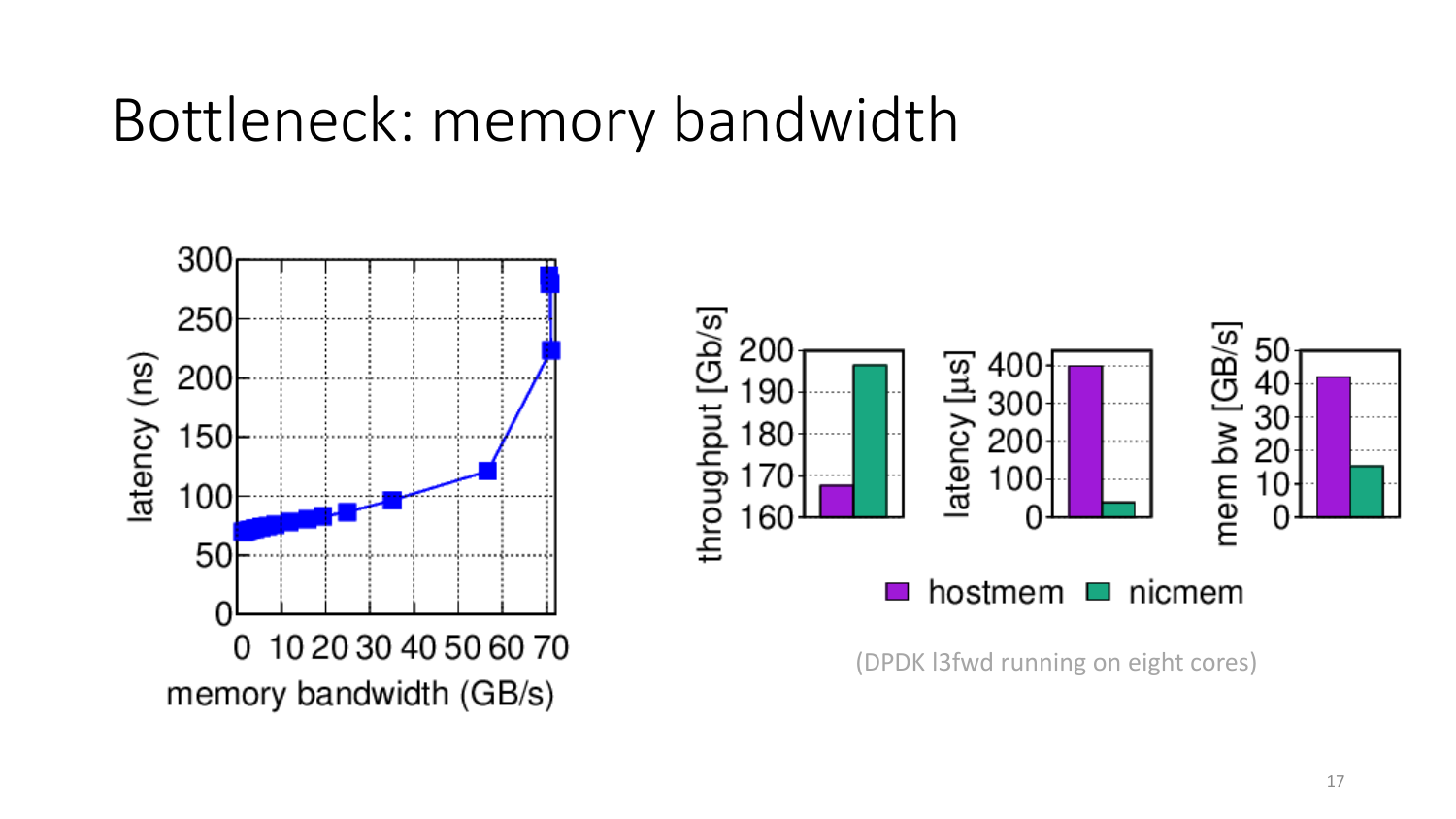#### Bottleneck: memory bandwidth

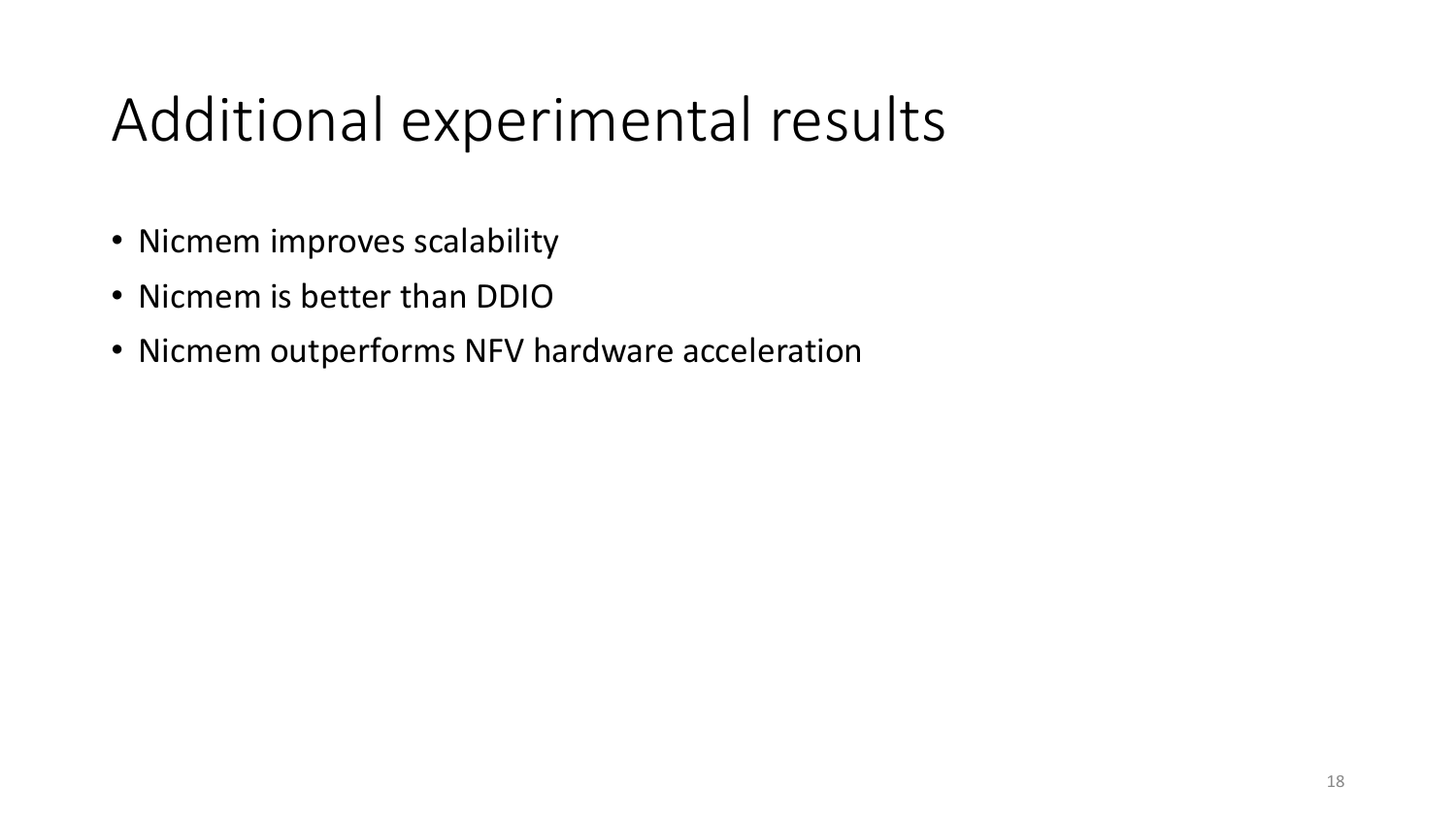#### Additional experimental results

- Nicmem improves scalability
- Nicmem is better than DDIO
- Nicmem outperforms NFV hardware acceleration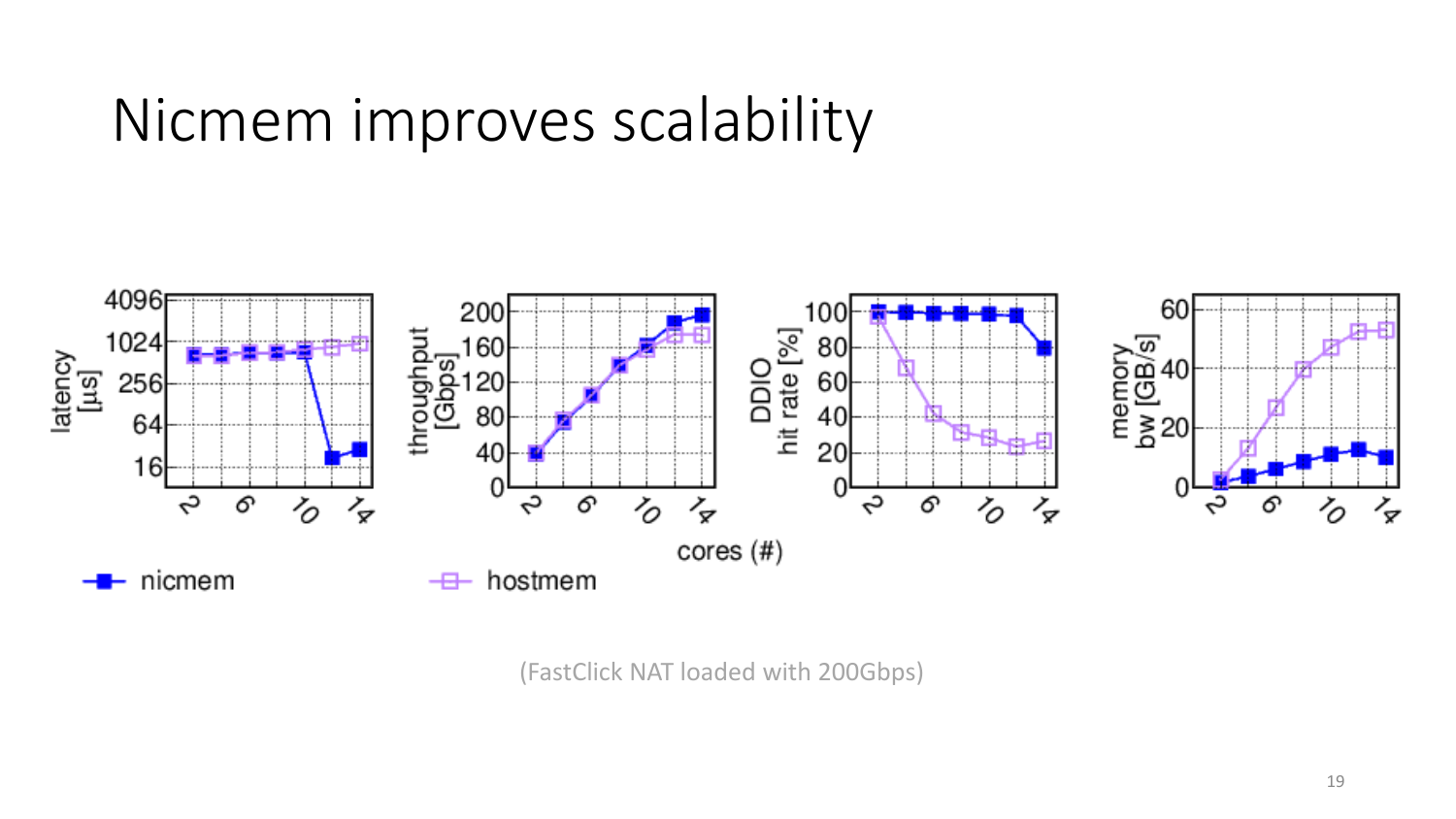#### Nicmem improves scalability



(FastClick NAT loaded with 200Gbps)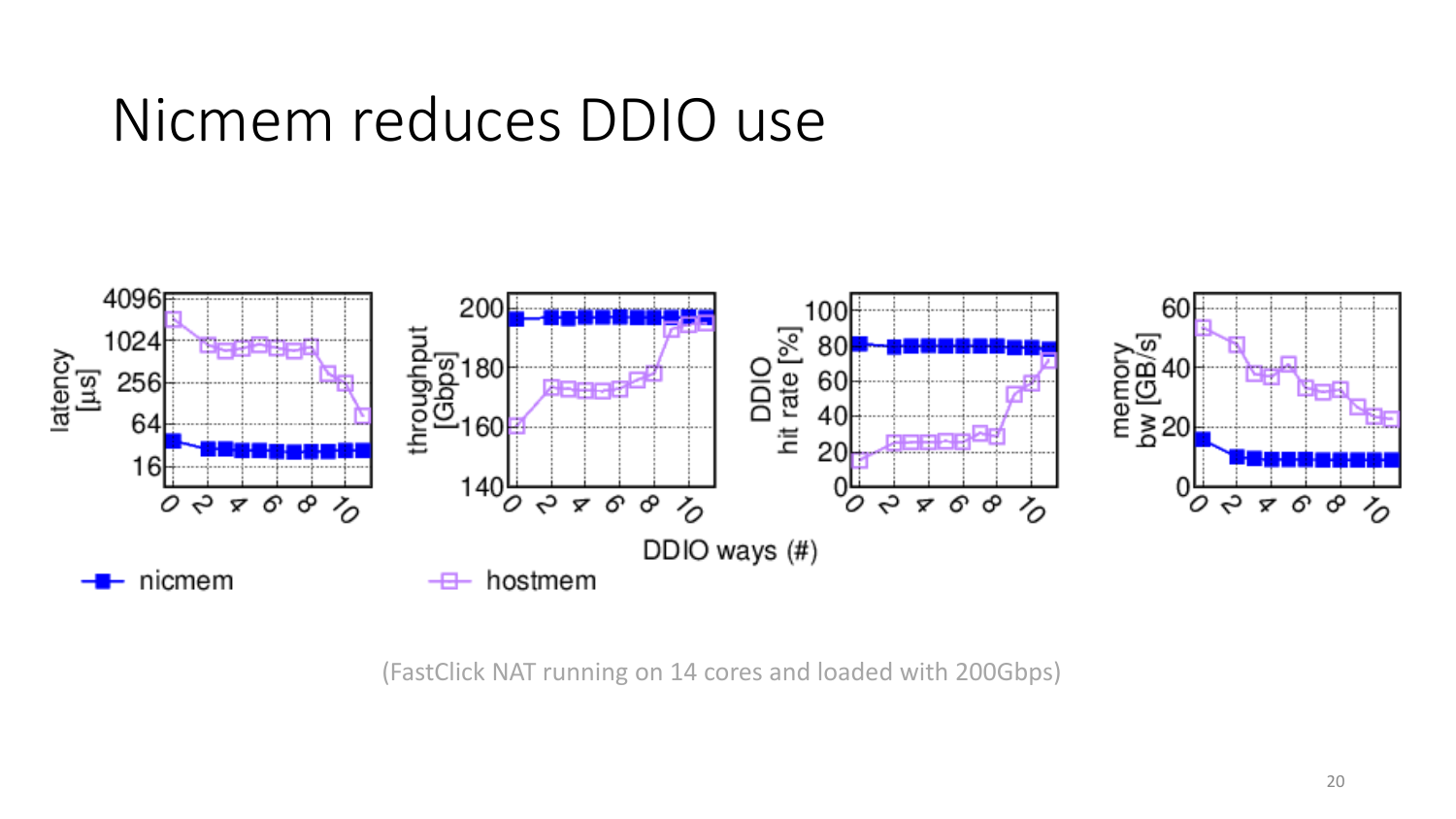#### Nicmem reduces DDIO use



(FastClick NAT running on 14 cores and loaded with 200Gbps)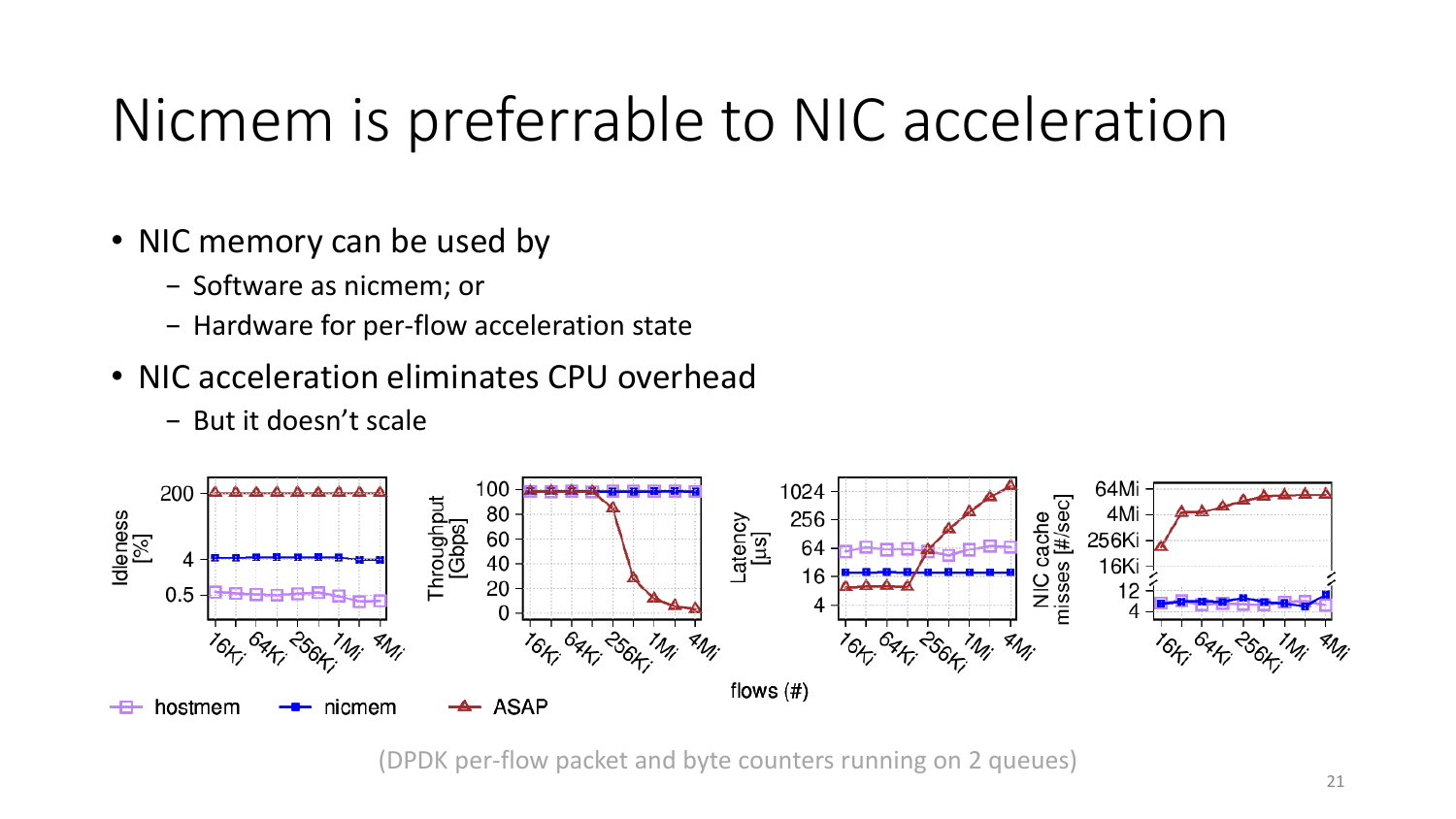#### Nicmem is preferrable to NIC acceleration

- NIC memory can be used by
	- − Software as nicmem; or
	- − Hardware for per-flow acceleration state
- NIC acceleration eliminates CPU overhead
	- − But it doesn't scale



(DPDK per-flow packet and byte counters running on 2 queues)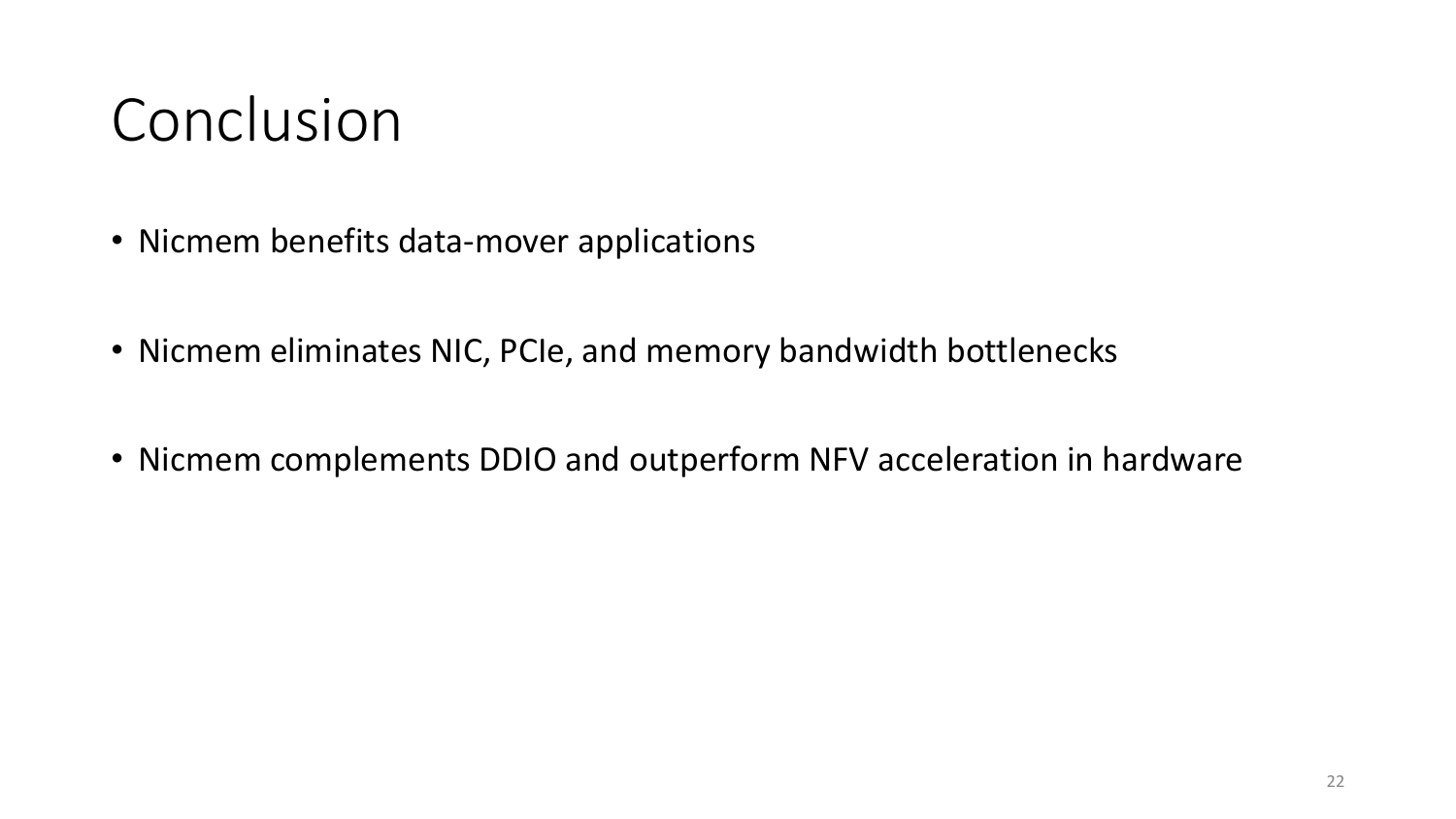#### Conclusion

- Nicmem benefits data-mover applications
- Nicmem eliminates NIC, PCIe, and memory bandwidth bottlenecks
- Nicmem complements DDIO and outperform NFV acceleration in hardware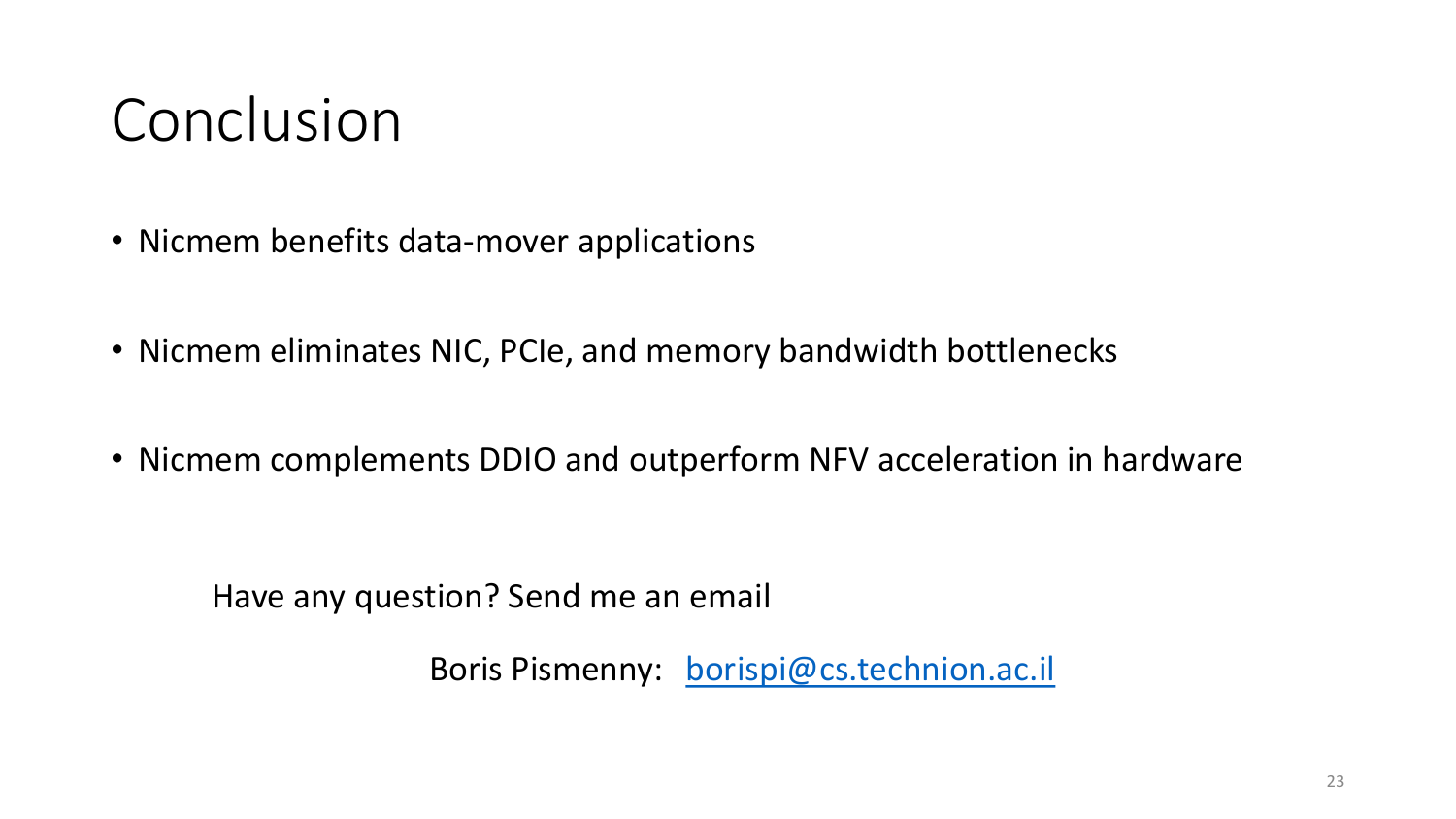#### Conclusion

- Nicmem benefits data-mover applications
- Nicmem eliminates NIC, PCIe, and memory bandwidth bottlenecks
- Nicmem complements DDIO and outperform NFV acceleration in hardware

Have any question? Send me an email

Boris Pismenny: [borispi@cs.technion.ac.il](mailto:borispi@cs.technion.ac.il)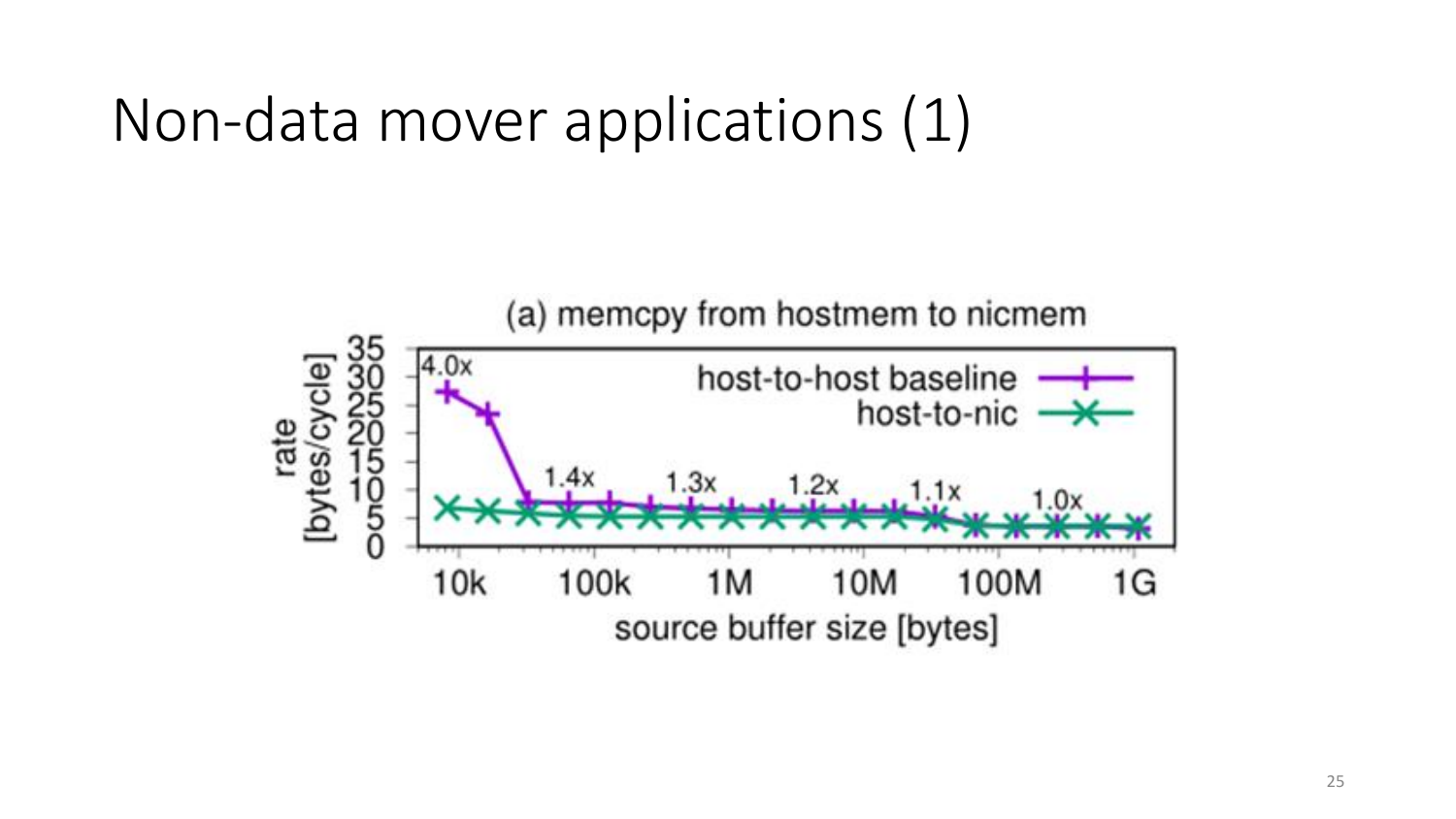#### Non-data mover applications (1)

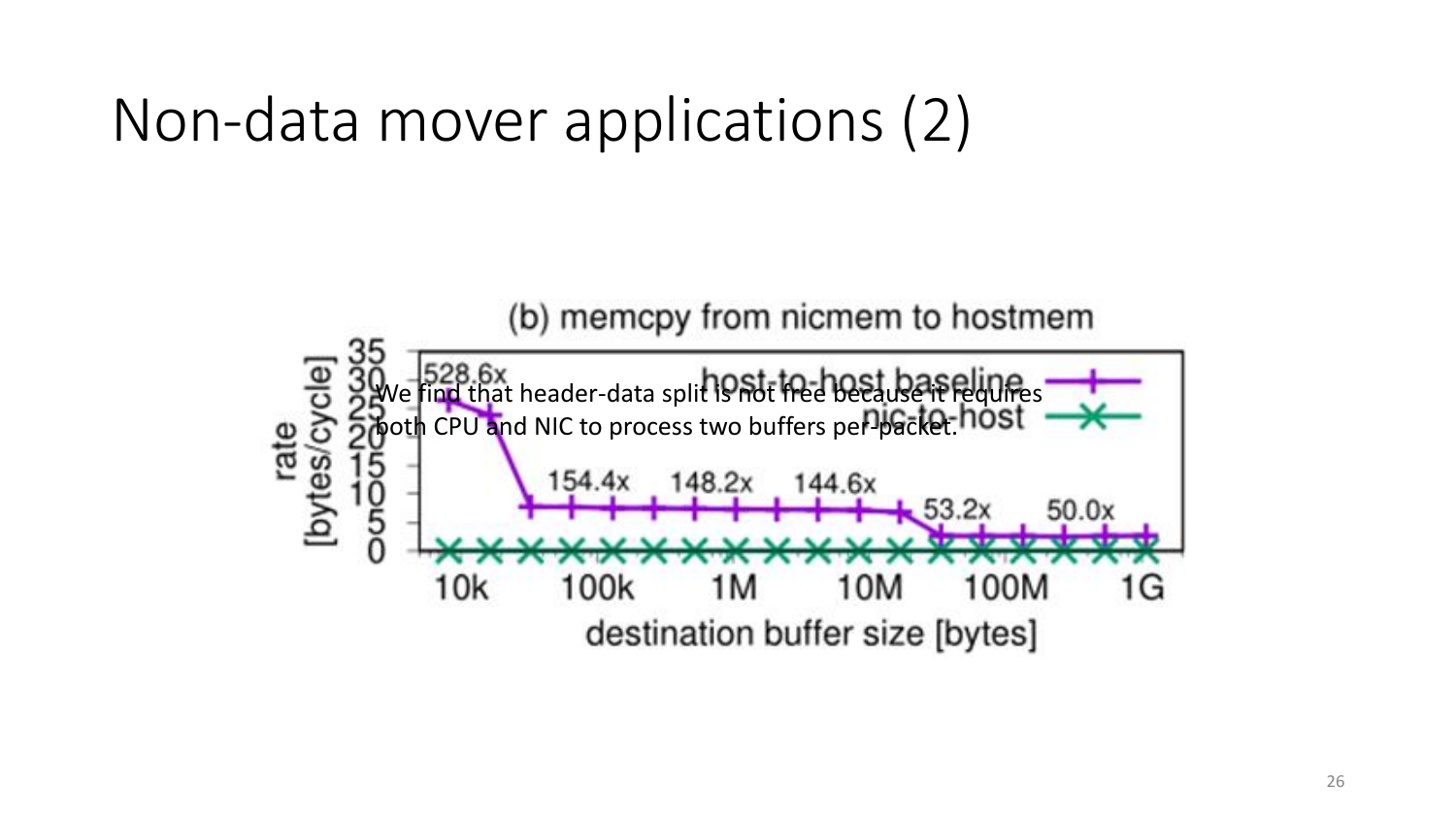#### Non-data mover applications (2)